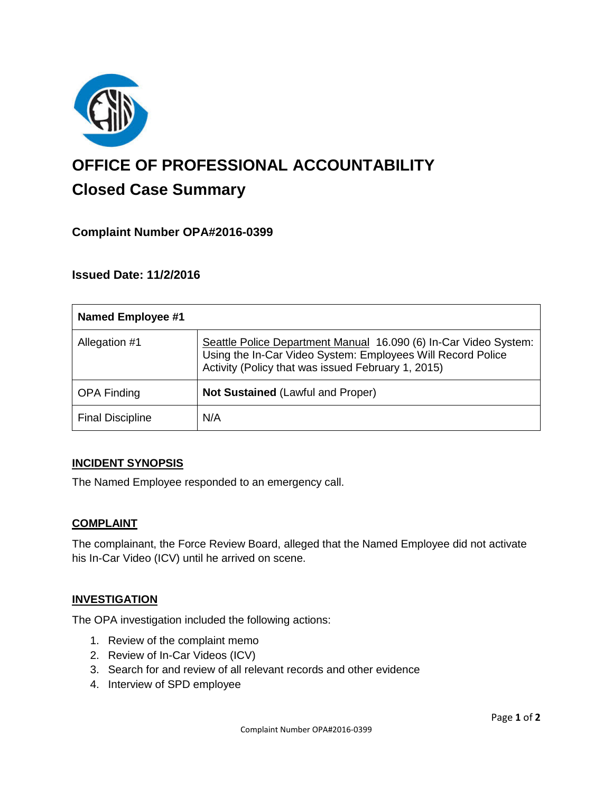

# **OFFICE OF PROFESSIONAL ACCOUNTABILITY Closed Case Summary**

# **Complaint Number OPA#2016-0399**

## **Issued Date: 11/2/2016**

| <b>Named Employee #1</b> |                                                                                                                                                                                       |
|--------------------------|---------------------------------------------------------------------------------------------------------------------------------------------------------------------------------------|
| Allegation #1            | Seattle Police Department Manual 16.090 (6) In-Car Video System:<br>Using the In-Car Video System: Employees Will Record Police<br>Activity (Policy that was issued February 1, 2015) |
| <b>OPA Finding</b>       | <b>Not Sustained (Lawful and Proper)</b>                                                                                                                                              |
| <b>Final Discipline</b>  | N/A                                                                                                                                                                                   |

#### **INCIDENT SYNOPSIS**

The Named Employee responded to an emergency call.

#### **COMPLAINT**

The complainant, the Force Review Board, alleged that the Named Employee did not activate his In-Car Video (ICV) until he arrived on scene.

#### **INVESTIGATION**

The OPA investigation included the following actions:

- 1. Review of the complaint memo
- 2. Review of In-Car Videos (ICV)
- 3. Search for and review of all relevant records and other evidence
- 4. Interview of SPD employee